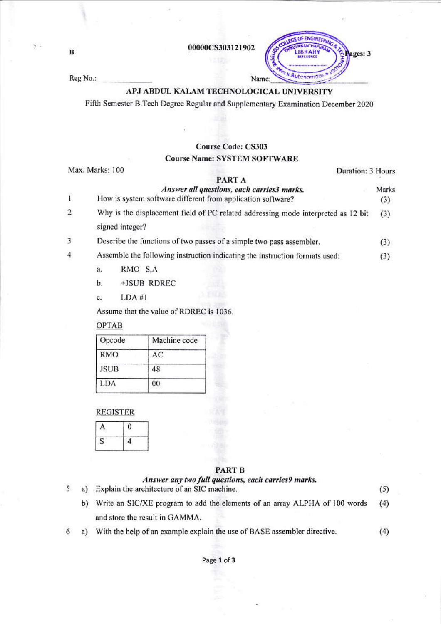00000CS303121902

**ENGINI** 

utenomou

ages: 3

Reg No.:

 $\, {\bf B}$ 

 $\mathcal{G}$  .

# APJ ABDUL KALAM TECHNOLOGICAL UNIVERSITY

Name:

Fifth Semester B.Tech Degree Regular and Supplementary Examination December 2020

## Course Code: CS303

### **Course Name: SYSTEM SOFTWARE**

|                | Max. Marks: 100<br>Duration: 3 Hours                                                                      |              |  |  |  |
|----------------|-----------------------------------------------------------------------------------------------------------|--------------|--|--|--|
|                | PART A                                                                                                    |              |  |  |  |
| $\mathbf{I}$   | Answer all questions, each carries3 marks.<br>How is system software different from application software? | Marks<br>(3) |  |  |  |
| 2              | Why is the displacement field of PC related addressing mode interpreted as 12 bit<br>signed integer?      |              |  |  |  |
| $\overline{3}$ | Describe the functions of two passes of a simple two pass assembler.                                      |              |  |  |  |
| 4              | Assemble the following instruction indicating the instruction formats used:<br>RMO S,A<br>a.              | (3)          |  |  |  |
|                | $+$ ISUR RDREC<br>h                                                                                       |              |  |  |  |

LDA#1 c.

Assume that the value of RDREC is 1036.

## **OPTAB**

| Opcode      | Machine code |
|-------------|--------------|
| RMO         | AС           |
| <b>JSUB</b> | 48           |
| LDA         | 00           |

### **REGISTER**

5

 $\overline{6}$ 

#### PART B

| a) | Answer any two full questions, each carries 9 marks.<br>Explain the architecture of an SIC machine. | (5) |
|----|-----------------------------------------------------------------------------------------------------|-----|
| b) | Write an SIC/XE program to add the elements of an array ALPHA of 100 words                          |     |
|    | and store the result in GAMMA.                                                                      |     |
| a) | With the help of an example explain the use of BASE assembler directive.                            | (4) |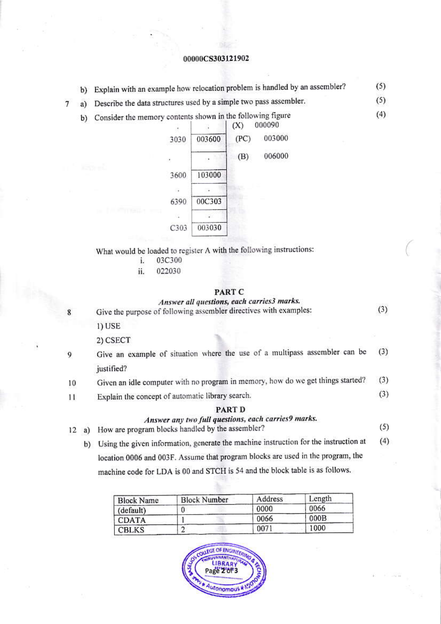#### 00000CS303121902

b) Explain with an example how relocation problem is handled by an assembler?  $(5)$ 

 $(5)$ 

 $(4)$ 

 $(3)$ 

- Describe the data structures used by a simple two pass assembler.  $\overline{7}$ a)
	- b) Consider the memory contents shown in the following figure



What would be loaded to register A with the following instructions:

- 03C300 i.
- ii. 022030

#### **PART C**

### Answer all questions, each carries3 marks.

- Give the purpose of following assembler directives with examples: 1) USE 2) CSECT Give an example of situation where the use of a multipass assembler can be  $(3)$ 9 justified?  $(3)$ Given an idle computer with no program in memory, how do we get things started? 10  $(3)$ Explain the concept of automatic library search.  $11$ PART D Answer any two full questions, each carries9 marks.  $(5)$ How are program blocks handled by the assembler?  $12 a)$ 
	- b) Using the given information, generate the machine instruction for the instruction at  $(4)$ location 0006 and 003F. Assume that program blocks are used in the program, the machine code for LDA is 00 and STCH is 54 and the block table is as follows.

| <b>Block Name</b> | <b>Block Number</b> | Address | Length |
|-------------------|---------------------|---------|--------|
| (default)         |                     | 0000    | 0066   |
| <b>CDATA</b>      |                     | 0066    | 000B   |
| <b>CBLKS</b>      |                     | 0071    | 1000   |



 $\mathbf{R}$